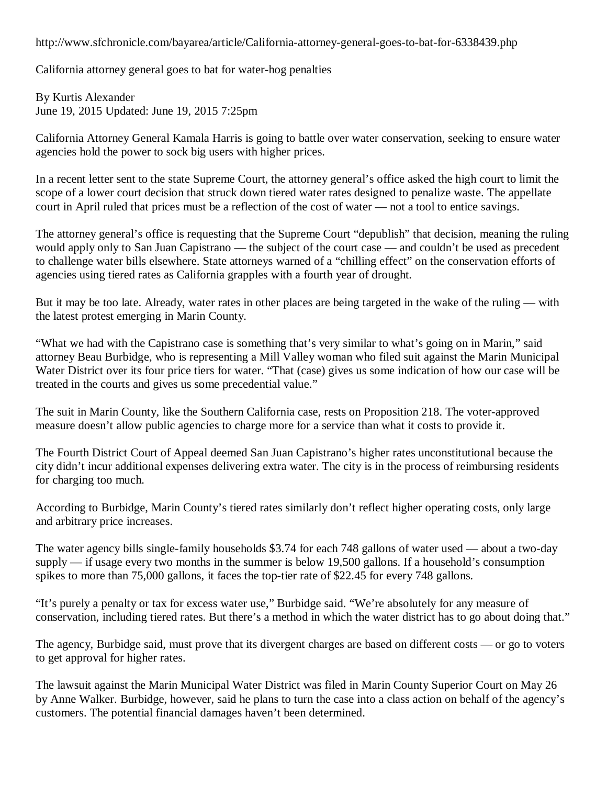<http://www.sfchronicle.com/bayarea/article/California-attorney-general-goes-to-bat-for-6338439.php>

California attorney general goes to bat for water-hog penalties

By Kurtis Alexander June 19, 2015 Updated: June 19, 2015 7:25pm

California Attorney General Kamala Harris is going to battle over water conservation, seeking to ensure water agencies hold the power to sock big users with higher prices.

In a recent letter sent to the state Supreme Court, the attorney general's office asked the high court to limit the scope of a lower court decision that struck down tiered water rates designed to penalize waste. The appellate court in April ruled that prices must be a reflection of the cost of water — not a tool to entice savings.

The attorney general's office is requesting that the Supreme Court "depublish" that decision, meaning the ruling would apply only to San Juan Capistrano — the subject of the court case — and couldn't be used as precedent to challenge water bills elsewhere. State attorneys warned of a "chilling effect" on the conservation efforts of agencies using tiered rates as California grapples with a fourth year of drought.

But it may be too late. Already, water rates in other places are being targeted in the wake of the ruling — with the latest protest emerging in Marin County.

"What we had with the Capistrano case is something that's very similar to what's going on in Marin," said attorney Beau Burbidge, who is representing a Mill Valley woman who filed suit against the Marin Municipal Water District over its four price tiers for water. "That (case) gives us some indication of how our case will be treated in the courts and gives us some precedential value."

The suit in Marin County, like the Southern California case, rests on Proposition 218. The voter-approved measure doesn't allow public agencies to charge more for a service than what it costs to provide it.

The Fourth District Court of Appeal deemed San Juan Capistrano's higher rates unconstitutional because the city didn't incur additional expenses delivering extra water. The city is in the process of reimbursing residents for charging too much.

According to Burbidge, Marin County's tiered rates similarly don't reflect higher operating costs, only large and arbitrary price increases.

The water agency bills single-family households \$3.74 for each 748 gallons of water used — about a two-day supply — if usage every two months in the summer is below 19,500 gallons. If a household's consumption spikes to more than 75,000 gallons, it faces the top-tier rate of \$22.45 for every 748 gallons.

"It's purely a penalty or tax for excess water use," Burbidge said. "We're absolutely for any measure of conservation, including tiered rates. But there's a method in which the water district has to go about doing that."

The agency, Burbidge said, must prove that its divergent charges are based on different costs — or go to voters to get approval for higher rates.

The lawsuit against the Marin Municipal Water District was filed in Marin County Superior Court on May 26 by Anne Walker. Burbidge, however, said he plans to turn the case into a class action on behalf of the agency's customers. The potential financial damages haven't been determined.